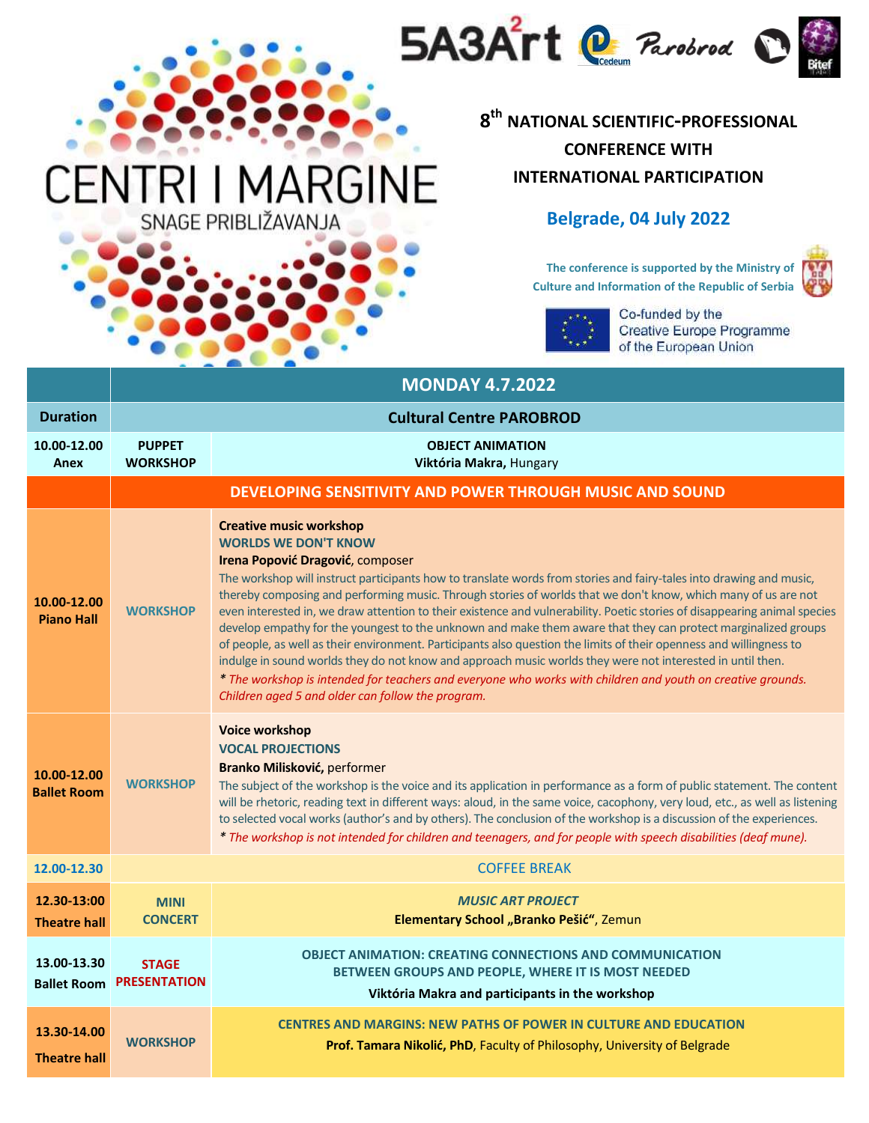

## **8 th NATIONAL SCIENTIFIC-PROFESSIONAL CONFERENCE WITH INTERNATIONAL PARTICIPATION**

## **Belgrade, 04 July 2022**

**The conference is supported by the Ministry of Culture and Information of the Republic of Serbia**





Co-funded by the Creative Europe Programme of the European Union

| <b>MONDAY 4.7.2022</b>                                   |                                     |                                                                                                                                                                                                                                                                                                                                                                                                                                                                                                                                                                                                                                                                                                                                                                                                                                                                                                                                                                                                   |  |  |
|----------------------------------------------------------|-------------------------------------|---------------------------------------------------------------------------------------------------------------------------------------------------------------------------------------------------------------------------------------------------------------------------------------------------------------------------------------------------------------------------------------------------------------------------------------------------------------------------------------------------------------------------------------------------------------------------------------------------------------------------------------------------------------------------------------------------------------------------------------------------------------------------------------------------------------------------------------------------------------------------------------------------------------------------------------------------------------------------------------------------|--|--|
| <b>Duration</b>                                          |                                     | <b>Cultural Centre PAROBROD</b>                                                                                                                                                                                                                                                                                                                                                                                                                                                                                                                                                                                                                                                                                                                                                                                                                                                                                                                                                                   |  |  |
| 10.00-12.00<br>Anex                                      | <b>PUPPET</b><br><b>WORKSHOP</b>    | <b>OBJECT ANIMATION</b><br>Viktória Makra, Hungary                                                                                                                                                                                                                                                                                                                                                                                                                                                                                                                                                                                                                                                                                                                                                                                                                                                                                                                                                |  |  |
| DEVELOPING SENSITIVITY AND POWER THROUGH MUSIC AND SOUND |                                     |                                                                                                                                                                                                                                                                                                                                                                                                                                                                                                                                                                                                                                                                                                                                                                                                                                                                                                                                                                                                   |  |  |
| 10.00-12.00<br><b>Piano Hall</b>                         | <b>WORKSHOP</b>                     | <b>Creative music workshop</b><br><b>WORLDS WE DON'T KNOW</b><br>Irena Popović Dragović, composer<br>The workshop will instruct participants how to translate words from stories and fairy-tales into drawing and music,<br>thereby composing and performing music. Through stories of worlds that we don't know, which many of us are not<br>even interested in, we draw attention to their existence and vulnerability. Poetic stories of disappearing animal species<br>develop empathy for the youngest to the unknown and make them aware that they can protect marginalized groups<br>of people, as well as their environment. Participants also question the limits of their openness and willingness to<br>indulge in sound worlds they do not know and approach music worlds they were not interested in until then.<br>* The workshop is intended for teachers and everyone who works with children and youth on creative grounds.<br>Children aged 5 and older can follow the program. |  |  |
| 10.00-12.00<br><b>Ballet Room</b>                        | <b>WORKSHOP</b>                     | <b>Voice workshop</b><br><b>VOCAL PROJECTIONS</b><br>Branko Milisković, performer<br>The subject of the workshop is the voice and its application in performance as a form of public statement. The content<br>will be rhetoric, reading text in different ways: aloud, in the same voice, cacophony, very loud, etc., as well as listening<br>to selected vocal works (author's and by others). The conclusion of the workshop is a discussion of the experiences.<br>* The workshop is not intended for children and teenagers, and for people with speech disabilities (deaf mune).                                                                                                                                                                                                                                                                                                                                                                                                            |  |  |
| 12.00-12.30                                              |                                     | <b>COFFEE BREAK</b>                                                                                                                                                                                                                                                                                                                                                                                                                                                                                                                                                                                                                                                                                                                                                                                                                                                                                                                                                                               |  |  |
| 12.30-13:00<br><b>Theatre hall</b>                       | <b>MINI</b><br><b>CONCERT</b>       | <b>MUSIC ART PROJECT</b><br>Elementary School "Branko Pešić", Zemun                                                                                                                                                                                                                                                                                                                                                                                                                                                                                                                                                                                                                                                                                                                                                                                                                                                                                                                               |  |  |
| 13.00-13.30<br><b>Ballet Room</b>                        | <b>STAGE</b><br><b>PRESENTATION</b> | <b>OBJECT ANIMATION: CREATING CONNECTIONS AND COMMUNICATION</b><br>BETWEEN GROUPS AND PEOPLE, WHERE IT IS MOST NEEDED<br>Viktória Makra and participants in the workshop                                                                                                                                                                                                                                                                                                                                                                                                                                                                                                                                                                                                                                                                                                                                                                                                                          |  |  |
| 13.30-14.00<br><b>Theatre hall</b>                       | <b>WORKSHOP</b>                     | <b>CENTRES AND MARGINS: NEW PATHS OF POWER IN CULTURE AND EDUCATION</b><br>Prof. Tamara Nikolić, PhD, Faculty of Philosophy, University of Belgrade                                                                                                                                                                                                                                                                                                                                                                                                                                                                                                                                                                                                                                                                                                                                                                                                                                               |  |  |

**ARGINE** 

SNAGE PRIBLIŽAVANJA